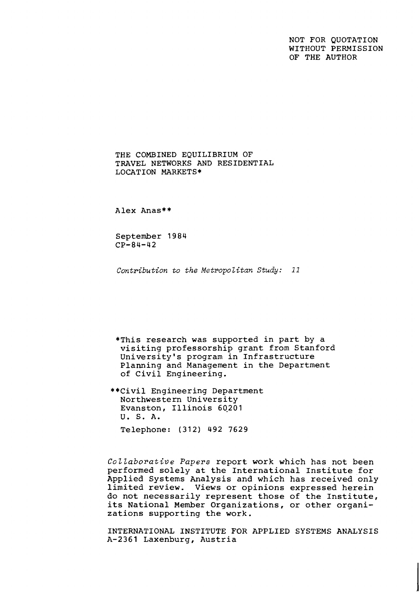NOT FOR QUOTATION WITHOUT PERMISSION OF THE AUTHOR

THE COMBINED EOUILIBRIUM OF TRAVEL NETWORKS AND RESIDENTIAL LOCATION MARKETS\*

Alex Anas\*\*

September 19 84 CP-84-42

**Contribution to the Metropolitan Study:** 11

\*This research was supported in part by a visiting professorship grant from Stanford University's program in Infrastructure Planning and Management in the Department of Civil Engineering.

\*\*Civil Engineering Department Northwestern University Evanston, Illinois 60201 U. S. A. Telephone: (312) 492 7629

Collaborative Papers report work which has not been performed solely at the International Institute for Applied Systems Analysis and which has received only limited review. Views or opinions expressed herein do not necessarily represent those of the Institute, its National Member Organizations, or other organizations supporting the work.

INTERNATIONAL INSTITUTE FOR APPLIED SYSTEMS ANALYSIS A-2361 Laxenburg, Austria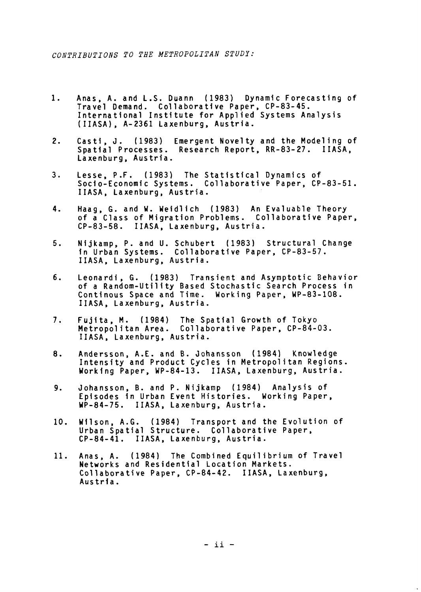- $1.$ Anas, A. and L.S. Duann (1983) Dynamic Forecasting of Travel Demand. Collaborative Paper, CP-83-45. International Institute for Applied Systems Analysis (IIASA), A-2361 Laxenburg, Austria.
- Casti, J. (1983) Emergent Novelty and the Modeling of<br>Spatial Processes. Research Report, RR-83-27. IIASA,  $2.$ Laxenburg, Austria.
- $3.$ Lesse, P.F. (1983) The Statistical Dynamics of Socio-Economic Systems. Collaborative Paper, CP-83-51. IIASA, Laxenburg, Austria.
- 4. laag, G. and W. Weidlich (1983) An Evaluable Theory eday, ar and ar acterion (1588) An Erdicasto Incorp.<br>
Second Class of Migration Problems. Collaborative Paper,<br>
CP-83-58. IIASA, Laxenburg, Austria.
- $5.$ Nijkamp, P. and U. Schubert (1983) Structural Change in Urban Systems. Collaborative Paper, CP-83-57. IIASA, Laxenburg, Austria.
- 6. Leonardi, G. (1983) Transient and Asymptotic Behavior of a Random-Utility Based Stochastic Search Process in Continous Space and Time. Working Paper, WP-83-108. IIASA, Laxenburg, Austria.
- Fujita, M. (1984) The Spatial Growth of Tokyo  $7.$ Metropolitan Area. Collaborative Paper, CP-84-03. IIASA, Laxenburg, Austria.
- Andersson, A.E. and **8.** Johansson (1984) Knowledge 8. Intensity and Product Cycles in Metropolitan Regions. Working Paper, WP-84-13. IIASA, Laxenburg, Austria.
- Johansson, B. and P. Nijkamp (1984) Analysis of 9. Episodes In Urban Event Histories. Working Paper, UP-84-75. IIASA, Laxenburg, Austria.
- 10. Wllson, A.G. (1984) Transport and the Evolution of Urban Spatial Structure. Collaborative Paper, CP-84-41. IIASA, Laxenburg, Austria.
- Anas, A. (1984) The Combined Equilibrium of Travel  $11.$ Networks and Residential Location Markets. Collaborative Paper, CP-84-42. I IASA, Laxenburg, Austria.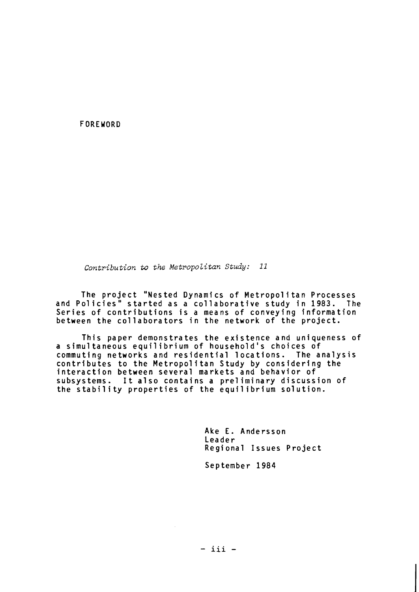FOREWORD

*Contribution to the Metropolitan Study:* 11

The project "Nested Dynamics of Metropolitan Processes and Policies" started as a collaborative study in 1983. The Series of contributions is a means of conveying information between the collaborators in the network of the project.

This paper demonstrates the existence and uniqueness of a simultaneous equilibrium of household's choices of commuting networks and residential locations. The analysis commuting networks and residential locations. The analys<br>contributes to the Metropolitan Study by considering the<br>interaction between several markets and behavior of subsystems. It also contains a prel iminary discussion of the stability properties of the equilibrium solution.

> Ake E. Andersson Leader Regional Issues Project

September 1984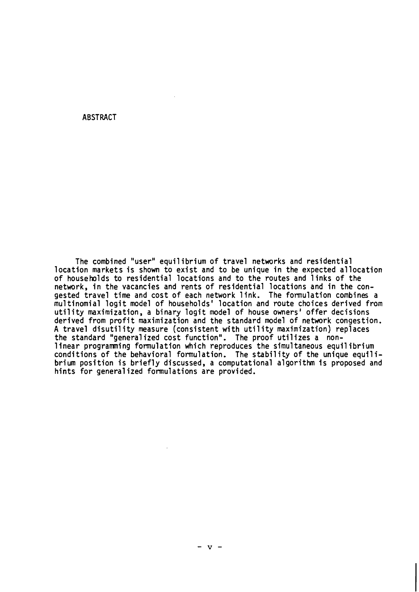#### ABSTRACT

The combined "user" equilibrium of travel networks and residential location markets is shown to exist and to be unique in the expected allocation of households to residential locations and to the routes and 1 inks of the network, in the vacancies and rents of residential locations and in the congested travel time and cost of each network link. The formulation combines a multinomial logit model of households' location and route choices derived from utility maximization, a binary logit model of house owners' offer decisions derived from profit maximization and the standard model of network congestion. A travel disutility measure (consistent with utility maximization) replaces the standard "generalized cost function", The proof utilizes a non-A travel disutility measure (consistent with utility maximization) replaces<br>the standard "generalized cost function". The proof utilizes a non-<br>linear programming formulation which reproduces the simultaneous equilibrium<br>c linear programming formulation which reproduces the simultaneous equilibrium<br>conditions of the behavioral formulation. The stability of the unique equilibrium position is briefly discussed, a computational a1 gorithm is proposed and hints for general ized formulations are provided.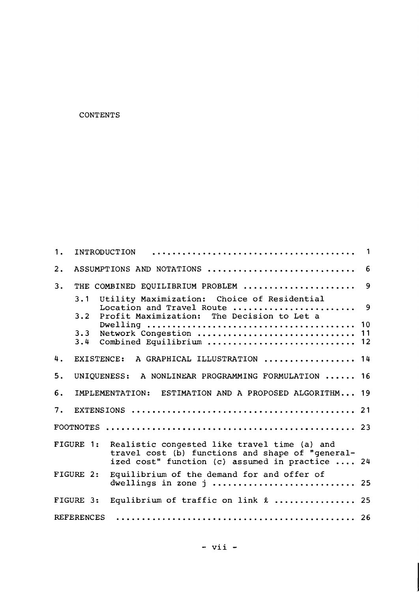## CONTENTS

| 1.                |             | <b>INTRODUCTION</b>                                                                                                                                 | -1             |
|-------------------|-------------|-----------------------------------------------------------------------------------------------------------------------------------------------------|----------------|
| 2.                |             | ASSUMPTIONS AND NOTATIONS                                                                                                                           | 6              |
| 3.                |             | THE COMBINED EQUILIBRIUM PROBLEM                                                                                                                    | 9              |
|                   | 3.1<br>3.2  | Utility Maximization: Choice of Residential<br>Location and Travel Route<br>Profit Maximization: The Decision to Let a                              | 9              |
|                   | 3.3<br>3.4  | Network Congestion<br>Combined Equilibrium                                                                                                          | 10<br>11<br>12 |
| 4.                | EXISTENCE:  | A GRAPHICAL ILLUSTRATION  14                                                                                                                        |                |
| 5.                | UNIQUENESS: | A NONLINEAR PROGRAMMING FORMULATION  16                                                                                                             |                |
| 6.                |             | IMPLEMENTATION:<br>ESTIMATION AND A PROPOSED ALGORITHM 19                                                                                           |                |
| 7.                |             |                                                                                                                                                     |                |
|                   |             |                                                                                                                                                     |                |
|                   | FIGURE 1:   | Realistic congested like travel time (a) and<br>travel cost (b) functions and shape of "general-<br>ized cost" function (c) assumed in practice  24 |                |
|                   | FIGURE 2:   | Equilibrium of the demand for and offer of<br>dwellings in zone j  25                                                                               |                |
|                   | FIGURE 3:   | Equlibrium of traffic on link &  25                                                                                                                 |                |
| <b>REFERENCES</b> |             |                                                                                                                                                     |                |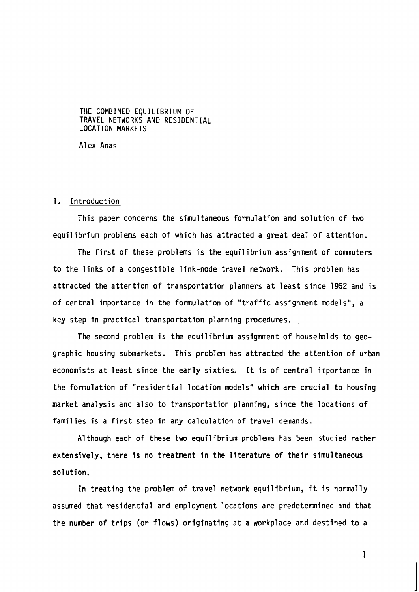#### THE COMBINED EQUILIBRIUM OF TRAVEL NETWORKS AND RESIDENTIAL LOCATION MARKETS

Alex Anas

#### 1. Introduction

This paper concerns the simultaneous formulation and solution of two equilibrium problems each of which has attracted a great deal of attention.

The first of these problems is the equilibrium assignment of comuters to the links of a congestible link-node travel network. This problem has attracted the attention of transportation planners at least since 1952 and is of central importance in the formulation of "traffic assignment models", a key step in practical transportation planning procedures.

The second problem is the equilibrium assignment of households to geographic housing submarkets. This problem has attracted the attention of urban economists at least since the early sixties. It is of central importance in the formulation of "residential location models" which are crucial to housing market analysis and also to transportation planning, since the locations of families is a first step in any calculation of travel demands.

A1 though each of these two equilibrium problems has been studied rather extensively, there is no treatment in the literature of their simultaneous sol ution.

In treating the problem of travel network equilibrium, it is normally assumed that residential and employment locations are predetermined and that the number of trips (or flows) originating at a workplace and destined to a

 $\mathbf{1}$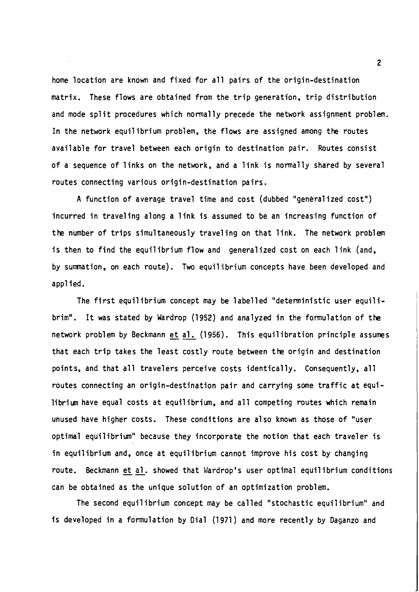home location are known and fixed for all pairs of the origin-destination matrix. These flows are obtained from the trip generation, trip distribution and mode split procedures which normally precede the network assignment problem. In the network equilibrium problem, the flows are assigned among the routes available for travel between each origin to destination pair. Routes consist of a sequence of links on the network, and a link is normally shared by several routes connecting various origin-destination pairs.

A function of average travel time and cost (dubbed "generalized cost") incurred in traveling along a link is assumed to be an increasing function of the number of trips simultaneously traveling on that link. The network problem is then to find the equilibrium flow and generalized cost on each link (and, by summation, on each route). Two equilibrium concepts have been developed and appl ied.

The first equilibrium concept may be labelled "deterministic user equilibrim". It was stated by Wardrop (1952) and analyzed in the formulation of the network problem by Beckmann et al. (1956). This equilibration principle assumes that each trip takes the least costly route between the origin and destination points, and that all travelers perceive costs identically. Consequently, all routes connecting an origin-destination pair and carrying some traffic at equilibriun have equal costs at equilibrium, and all competing routes which remain unused have higher costs. These conditions are also known as those of "user optimal equilibrium" because they incorporate the notion that each traveler is in equilibrium and, once at equilibrium cannot improve his cost by changing route. Beckmann et al. showed that Wardrop's user optimal equilibrium conditions can be obtained as the unique solution of an optimization problem.

The second equilibrium concept may be called "stochastic equilibrium" and is developed in a formulation by Dial (1971) and more recently by Daganzo and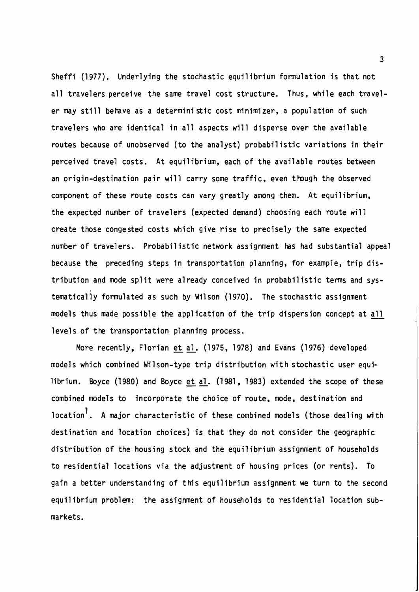Sheffi (1977). Underlying the stochastic equilibrium formulation is that not all travelers perceive the same travel cost structure. Thus, while each traveler may still behve as a determini stic cost minimizer, a population of such travelers who are identical in all aspects will disperse over the available routes because of unobserved (to the analyst) probabilistic variations in their perceived travel costs. At equilibrium, each of the available routes between an origin-destination pair will carry some traffic, even though the observed component of these route costs can vary greatly among them. At equilibrium, the expected nwnber of travelers (expected demand) choosing each route will create those congested costs which give rise to precisely the same expected number of travelers. Probabil istic network assignment has had substantial appeal because the preceding steps in transportation planning, for example, trip distribution and mode split were already conceived in probabilistic terms and systematical ly formulated as such by Mil son (1 970). The stochastic assignment tribution and mode split were already conceived in probabilistic terms and sys-<br>tematically formulated as such by Wilson (1970). The stochastic assignment<br>models thus made possible the application of the trip dispersion co levels of the transportation planning process.

More recently, Florian et al. (1975, 1978) and Evans (1976) developed models which combined Wilson-type trip distribution with stochastic user equilibrium. Boyce (1980) and Boyce et al. (1981, 1983) extended the scope of these combined models to incorporate the choice of route, mode, destination and location<sup>1</sup>. A major characteristic of these combined models (those dealing with destination and location choices) is that they do not consider the geographic distribution of the housing stock and the equilibrium assignment of households to residential locations via the adjustment of housing prices (or rents). To gain a better understanding of this equilibrium assignment we turn to the second equilibrium problem: the assignment of households to residential location submarkets.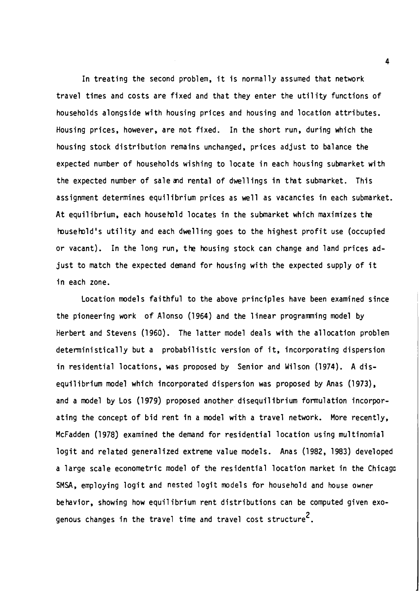In treating the second problem, it is normally assumed that network travel times and costs are fixed and that they enter the util ity functions of households alongside with housing prices and housing and location attributes. Housing prices, however, are not fixed. In the short run, during which the housing stock distribution remains unchanged, prices adjust to balance the expected number of households wishing to locate in each housing submarket with the expected number of sale and rental of dwellings in that submarket. This assignment determines equilibrium prices as well as vacancies in each submarket. At equilibrium, each household locates in the submarket which maximizes the household's utility and each dwelling goes to the highest profit use (occupied or vacant). In the long run, the housing stock can change and land prices adjust to match the expected demand for housing with the expected supply of it in each zone.

Location models faithful to the above principles have been examined since the pioneering work of Alonso (1964) and the linear programming model by Herbert and Stevens (1960). The latter model deals with the allocation problem deterministically but a probabilistic version of it, incorporating dispersion in residential locations, was proposed by Senior and Wilson (1974). A disequilibrium model which incorporated dispersion was proposed by Anas (1973), and a model by Los (1979) proposed another disequilibrium formulation incorporating the concept of bid rent in a model with a travel network. More recently, McFadden (1978) examined the demand for residential location using multinomial logit and related generalized extreme value models. Anas (1982, 1983) developed a large scale econometric model of the residential location market in the Chicago SMSA, employing logit and nested logit models for household and house owner behavior, showing how equilibrium rent distributions can be computed given exogenous changes in the travel time and travel cost structure<sup>2</sup>.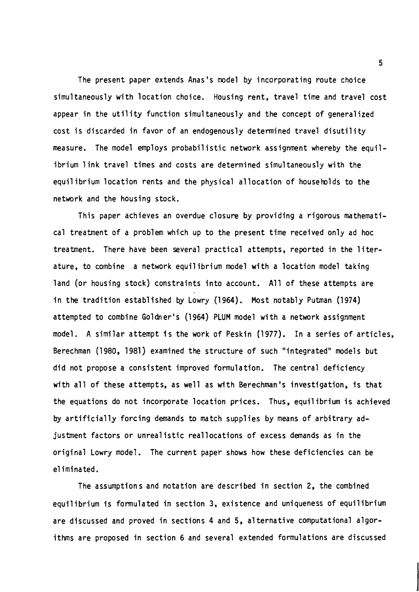The present paper extends Anas's model by incorporating route choice simultaneously with location choice. Housing rent, travel time and travel cost appear in the utility function simultaneously and the concept of generalized cost is discarded in favor of an endogenously determined travel disutility measure. The model employs probabilistic network assignment whereby the equilibrium 1 ink travel times and costs are determined simultaneously with the equil ibrium location rents and the physical allocation of households to the network and the housing stock.

This paper achieves an overdue closure by providing a rigorous mathematical treatment of a problem which up to the present time received only ad hoc treatment. There have been several practical attempts, reported in the literature, to combine a network equil ibrium model with a location model taking land (or housing stock) constraints into account. All of these attempts are in the tradition established by Lowry (1964). Most notably Putman (1974) attempted to combine Goldner's (1964) PLUM model with a network assignment model. A similar attempt is the work of Peskin (1977). In a series of articles, Berechman (1980, 1981) examined the structure of such "integrated" models but did not propose a consistent improved formula tion. The central deficiency with all of these attempts, as well as with Berechman's investigation, is that the equations do not incorporate location prices. Thus, equilibrium is achieved **by** artificially forcing demands to match supplies by means of arbitrary adjusment factors or unrealistic reallocations of excess demands as in the original Lowry model. The current paper shows how these deficiencies can be eliminated.<br>The assumptions and notation are described in section 2, the combined

equilibrium is formulated in section 3, existence and uniqueness of equilibrium are discussed and proved in sections **4** and 5, alternative computational algorithms are proposed in section 6 and several extended formulations are discussed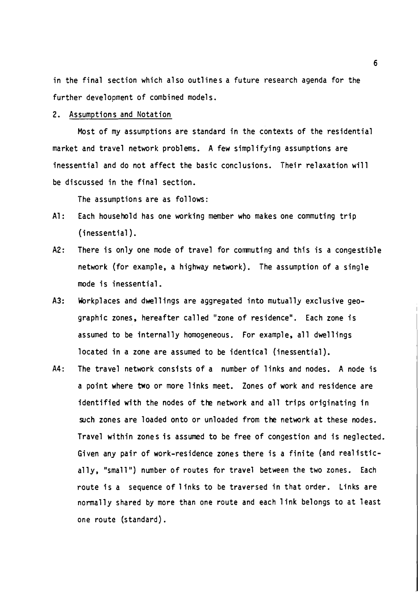in the final section which also outlines a future research agenda for the further development of combined models.

## 2. Assumptions and Notation

Most of my assumptions are standard in the contexts of the residential market and travel network problems. A few simplifying assumptions are inessential and do not affect the basic conclusions. Their relaxation will be discussed in the final section.

The assumptions are as follows:

- A1: Each household has one working member who makes one commuting trip (inessential ).
- A2: There is only one mode of travel for commuting and this is a congestible network (for example, a highway network). The assumption of a single mode is inessential.
- A3: Workplaces and dwellings are aggregated into mutually exclusive geographic zones, hereafter called "zone of residence". Each zone is assumed to be internally homogeneous. For example, all dwellings located in a zone are assumed to be identical (inessential).
- A4: The travel network consists of a number of links and nodes. A node is a point where two or more links meet. Zones of work and residence are identified with the nodes of the network and all trips originating in such zones are loaded onto or unloaded from the network at these nodes. Travel within zones is assumed to be free of congestion and is neglected. Given any pair of work-residence zones there is a finite (and real istically, "small") number of routes for travel between the two zones. Each route is a sequence of 1 inks to be traversed in that order. Links are normally shared by more than one route and each 1 ink belongs to at least one route (standard).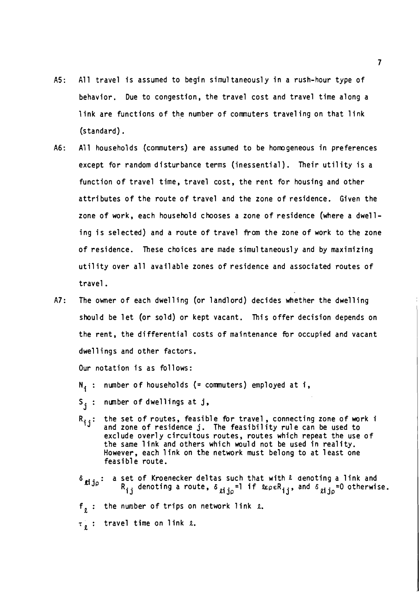- AS: All travel is assumed to begin simul taneously in a rush-hour type of behavior. Due to congestion, the travel cost and travel time along a link are functions of the number of comnuters traveling on that link (standard) .
- A6: All households (commuters) are assumed to be homogeneous in preferences except for random disturbance terms (inessential). Their utility is a function of travel time, travel cost, the rent for housing and other attributes of the route of travel and the zone of residence. Given the zone of work, each household chooses a zone of residence (where a dwelling is selected) and a route of travel from the zone of work to the zone of residence. These choices are made simul taneously and by maximizing utility over all available zones of residence and associated routes of travel.
- A7: The owner of each dwelling (or landlord) decides whether the dwelling should be let (or sold) or kept vacant. This offer decision depends on the rent, the differential costs of maintenance for occupied and vacant dwellings and other factors.

Our notation is as follows:

- $N_i$ : number of households (= commuters) employed at i,
- S<sub>j</sub> : number of dwellings at j<mark>,</mark>
- Ri j: the set of routes, feasible fir travel , connecting zone of work i and zone of residence j . The feasi bi **1** ity rul e can be used to exclude overly circuitous routes, routes which repeat the use of the same link and others which would not be used in reality. However, each link on the network must belong to at least one feasible route.
- $\delta$   $j$  i a set of Kroenecker deltas such that with  $\ell$  denoting a link and  $R_{i,j}$  denoting a route,  $\delta$   $\delta$  in  $^{-1}$  if  $\ell$ epe $R_{i,j}$ , and  $\delta$   $\delta$   $\delta$  in  $^{-0}$  otherwise.

 $f_{n}$ : the number of trips on network link  $r_{n}$ .

 $\tau_e$  : travel time on link 2.

 $\overline{\mathbf{z}}$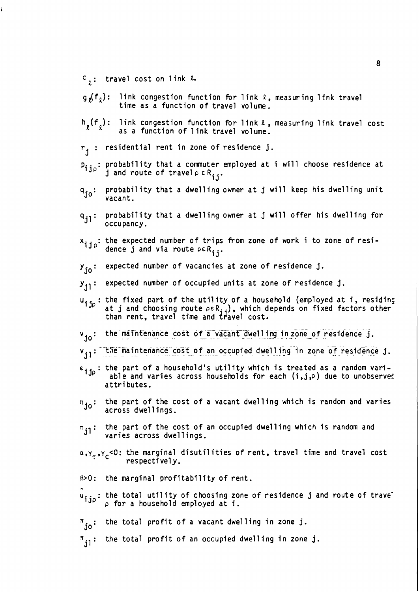- $c_{\rho}$ : travel cost on link  $\ell$ .
- $g_o(f_o)$ : link congestion function for link  $\ell$ , measuring link travel time as a function of travel volume.
- $h_{\rho}(f_{\rho})$ : link congestion function for link  $\ell$ , measuring link travel cost as a function of 1 ink travel volume.
- $r_i$  : residential rent in zone of residence j.
- $p_{j, j_0}$ : probability that a commuter employed at i will choose residence at j and route of travel  $\rho \in R_{j,i}$ .
- probability that a dwelling owner at j will keep his dwelling unit q<sub>jo</sub>: probabi<br>vacant.
- q<sub>jl</sub>: probability that a dwelling owner at j will offer his dwelling for propapility<br>occupancy.
- $x_{i,j}$ : the expected number of trips from zone of work i to zone of residence j and via route  $\rho \in R_{ij}$ .
- y<sub>io</sub>: expected number of vacancies at zone of residence j.
- $y_{i1}$ : expected number of occupied units at zone of residence j.
- u<sub>i io</sub>: the fixed part of the utility of a household (employed at **i**, residing ijc the fixed part of the utility of a household (employed at i, residing  $a$ t j and choosing route  $\rho \in R_{j,j}$ ), which depends on fixed factors other than rent, travel time and travel cost.
- $v_{io}$ : the maintenance cost of a vacant dwelling in zone of residence j.
- v<sub>il</sub>: The maintenance cost of an occupied dwelling in zone of residence j.
- $\epsilon$ <sub>ijp</sub>: the part of a household's utility which is treated as a random vari-<br>able and varies across households for each (i,j, $\rho$ ) due to unobservet attributes.
- the part of the cost of a vacant dwelling which is random and varies  $\eta_{j0}$ : the part of the c<br>across dwellings.
- the part of the cost of an occupied dwelling which is random and  $n_{\bf ji}$ : the part of the cost of<br>varies across dwellings.
- $\alpha, \gamma_{\tau}, \gamma_{C}$ <0: the marginal disutilities of rent, travel time and travel cost respectively .
- $\beta > 0$ : the marginal profitability of rent.

 $\hat{\mathbf{u}}_{\textbf{ij}\rho}$ : the total utility of choosing zone of residence j and route of trave<sup>-</sup><br>'<sup>ijp'</sup> <sub>P</sub> for a household employed at i.

- $\mathbf{r_{jo}}$ : the total profit of a vacant dwelling in zone j.
- $^{\pi}$ il  $^{\colon}$ the total profit of an occupied dwelling in zone j.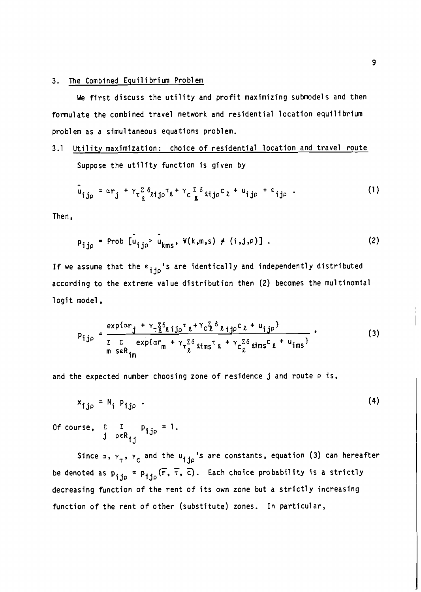### 3. The Combined Equilibrium Problem

We first discuss the utility and profit maximizing submodels and then formulate the combined travel network and residential location equilibrium problem as a simul taneous equations problem.

# 3.1 Utility maximization: choice of residential location and travel route Suppose the utility function is given by

$$
\hat{u}_{ij\rho} = \alpha r_j + \gamma_\tau \sum_{\ell} \delta_{\ell ij\rho} \tau_\ell + \gamma_c \sum_{\ell} \delta_{\ell ij\rho} c_\ell + u_{ij\rho} + \epsilon_{ij\rho} \quad . \tag{1}
$$

Then,

$$
p_{ij\rho} = \text{Prob} \left[ \hat{u}_{ij\rho} & \hat{u}_{kms}, \ \Psi(k,m,s) \neq (i,j,\rho) \right] \ . \tag{2}
$$

If we assume that the  $\varepsilon_{\textbf{ijp}}$ 's are identically and independently distributed according to the extreme value distribution then (2) becomes the multinomial logit model,

$$
p_{ij\rho} = \frac{\exp\{\alpha r_j + \gamma_\tau \xi \delta_{\ell ij\rho} \tau_\ell + \gamma_c \xi \delta_{\ell ij\rho} c_\ell + u_{ij\rho}\}}{\sum_{m \text{ seR}_{im}} \exp\{\alpha r_m + \gamma_\tau \xi \delta_{\ell ims} \tau_\ell + \gamma_c \xi \delta_{\ell ims} c_\ell + u_{ims}\}},
$$
(3)

and the expected number choosing zone of residence j and route  $\rho$  is,

$$
x_{ij\rho} = N_i P_{ij\rho} \tag{4}
$$

 $\begin{array}{ccc} \texttt{Of course,} & \Sigma & \Sigma & \mathsf{p}_{\textbf{ijp}} = 1. \ & \texttt{j} & \texttt{prk}_{\textbf{ij}} \end{array}$ 

Since  $\alpha$ ,  $\gamma_{\tau}$ ,  $\gamma_{\text{c}}$  and the  $u_{\text{ijp}}$ 's are constants, equation (3) can hereafter<br>ated as  $\alpha = \pi_{\text{c}}$  ( $\overline{\tau}$   $\overline{\tau}$   $\overline{\epsilon}$ ) . Each choice probability is a strictly be denoted as  $p_{ij\rho} = p_{ij\rho}(\overline{r}, \overline{r}, \overline{c})$ . Each choice probability is a strictly decreasing function of the rent of its own zone but a strictly increasing function of the rent of other (substitute) zones. In particular,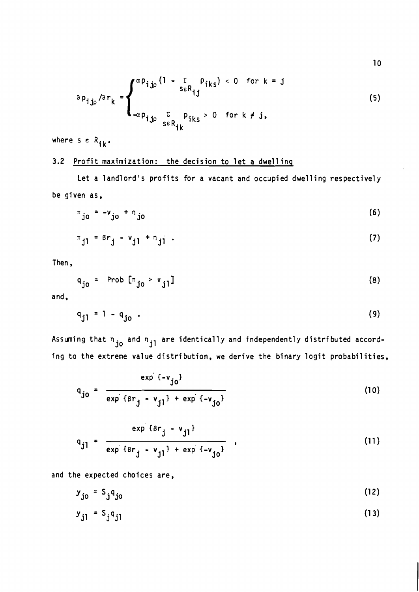$$
\partial p_{ij\rho}/\partial r_k = \begin{cases} \alpha p_{ij\rho} (1 - \sum_{s \in R_{ij}} p_{iks}) < 0 \quad \text{for } k = j \\ \n\frac{\sum_{\alpha p_{ij\rho}} \sum_{s \in R_{ik}} p_{iks} > 0 \quad \text{for } k \neq j, \\ \n\end{cases} \tag{5}
$$

where  $s \in R_{ik}$ .

## **3.2** Profit maximization: the decision to let a dwell inp

Let a landlord's profits for a vacant and occupied dwelling respectively be given as,

$$
\pi_{j0} = -v_{j0} + n_{j0}
$$
 (6)

$$
\pi_{j1} = \beta r_j - v_{j1} + n_{j1} \tag{7}
$$

Then,

$$
q_{j0} = \text{Prob} [\pi_{j0} > \pi_{j1}]
$$
 (8)

and,

$$
q_{j1} = 1 - q_{j0}
$$
 (9)

Assuming that  $n_{\rm j0}$  and  $n_{\rm j1}$  are identically and independently distributed according to the extreme value distribution, we derive the binary logit probabilities,

$$
q_{j0} = \frac{exp(-v_{j0})}{exp(\beta r_j - v_{j1}) + exp(-v_{j0})}
$$
 (10)

$$
q_{j1} = \frac{\exp \{ \beta r_{j} - v_{j1} \}}{\exp \{ \beta r_{j} - v_{j1} \} + \exp \{ -v_{j0} \} },
$$
 (11)

and the expected choices are,

$$
y_{j0} = S_j q_{j0} \tag{12}
$$

$$
y_{j1} = S_j q_{j1} \tag{13}
$$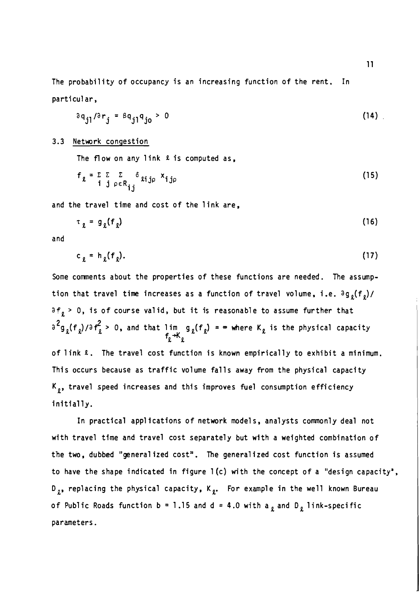The probability of occupancy is an increasing function of the rent. In particular,

$$
\partial q_{j1}/\partial r_{j} = \beta q_{j1}q_{j0} > 0
$$
 (14)

#### 3.3 Network congestion

The flow on any link  $\ell$  is computed as,

$$
f_{\ell} = \sum_{\substack{i \ j \rho \in R_{ij}}} \sum_{j \in I} \delta_{ij} \delta_{ij} \times_{ij} \tag{15}
$$

and the travel time and cost of the link are,  
\n
$$
\tau_{\ell} = g_{\ell}(f_{\ell})
$$
 (16)

and

$$
c_{\ell} = h_{\ell}(f_{\ell}). \tag{17}
$$

Some comments about the properties of these functions are needed. The assumption that travel time increases as a function of travel volume, i.e.  $\partial g_{o}(f_{o})/$  $a f_{\rho}$  > 0, is of course valid, but it is reasonable to assume further that  $a^2g_{\ell}({\sf f}_{\ell})/a{\sf f}_{\ell}^2$  > 0, and that lim  $g_{\ell}({\sf f}_{\ell})$  =  $\infty$  where K $_{\ell}$  is the physical capacity  $\mathfrak{c}$  in of link **a.** The travel cost function is known empirically to exhibit a minimum. This occurs because as traffic volume falls away from the physical capacity  $K_{g}$ , travel speed increases and this improves fuel consumption efficiency initially.

In practical applications of network models, analysts commonly deal not with travel time and travel cost separately but with a weighted combination of the two, dubbed "generalized cost". The generalized cost function is assumed to have the shape indicated in figure  $1(c)$  with the concept of a "design capacity",  $D_{g}$ , replacing the physical capacity,  $K_{g}$ . For example in the well known Bureau of Public Roads function  $b = 1.15$  and  $d = 4.0$  with a, and D, link-specific parameters.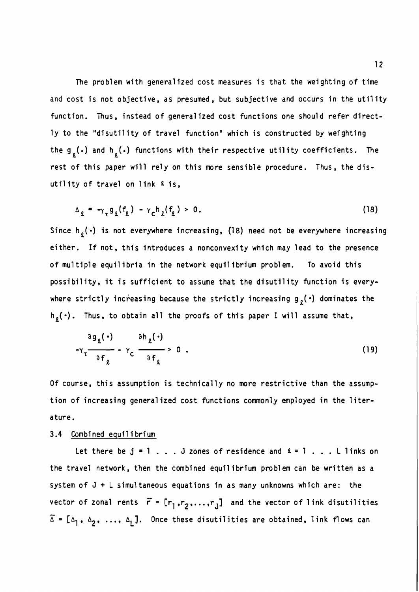The problem with generalized cost measures is that the weighting of time and cost is not objective, as presumed, but subjective and occurs in the utility function. Thus, instead of generalized cost functions one should refer directly to the "disutility of travel function" which is constructed by weighting the g  $_{\textrm{g}}(\textcolor{black}{\cdot})$  and h  $_{\textrm{g}}(\textcolor{black}{\cdot})$  functions with their respective utility coefficients. The rest of this paper will rely on this more sensible procedure. Thus, the disutility of travel on link **2** is,

$$
\Delta_{\ell} = -\gamma_{\tau} g_{\ell}(f_{\ell}) - \gamma_{C} h_{\ell}(f_{\ell}) > 0. \qquad (18)
$$

Since  $h_g(\cdot)$  is not everywhere increasing, (18) need not be everywhere increasing either. If not, this introduces a nonconvexi ty which may lead to the presence of multiple equilibria in the network equilibrium problem. To avoid this possibility, it is sufficient to assume that the disutility function is everywhere strictly increasing because the strictly increasing  $g_{\varrho}(\cdot)$  dominates the  $h<sub>g</sub>(.)$ . Thus, to obtain all the proofs of this paper I will assume that,

$$
{}^3g_{\ell}(\cdot) \qquad {}^{3}h_{\ell}(\cdot) \qquad \qquad {}^{3}h_{\ell}(\cdot) \qquad \qquad {}^{3}g_{\ell}(\cdot) \qquad \qquad (19)
$$

Of course, this assumption is technically no more restrictive than the assumption of increasing generalized cost functions commonly employed in the literature.

## 3.4 Combined equilibrium

Let there be  $j = 1$ ... J zones of residence and  $l = 1$ ... L links on the travel network, then the combined equilibrium problem can be written as a system of J + L simultaneous equations in as many unknowns which are: the vector of zonal rents  $\vec{r}$  =  $[r_1, r_2, \ldots, r_J]$  and the vector of link disutilities vec<br>T - $\overline{\Delta} = [\Delta_1, \Delta_2, ..., \Delta_L]$ . Once these disutilities are obtained, link flows can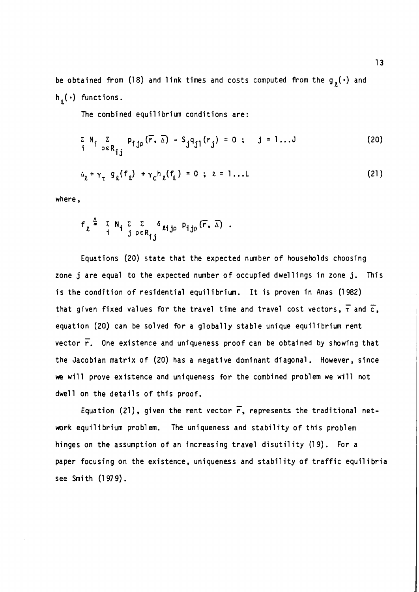be obtained from (18) and link times and costs computed from the  $g_{\varrho}(\cdot)$  and h<sub>2</sub>(.) functions.

The combined equilibrium conditions are:

$$
\sum_{i} N_{i} \sum_{p \in R_{ij}} p_{ijp}(\vec{r}, \Delta) - S_{j} q_{jl}(r_{j}) = 0; \quad j = 1...J
$$
 (20)

$$
\Delta_{\ell} + \gamma_{\tau} g_{\ell}(f_{\ell}) + \gamma_{C} h_{\ell}(f_{\ell}) = 0 ; \ell = 1 ... L
$$
 (21)

where,

$$
f_{\ell} \stackrel{\underline{\triangle}}{=} \begin{array}{cc} \Sigma & N_{\mathbf{i}} & \Sigma & \Sigma & \delta \\ \vdots & \vdots & \vdots & \vdots & \vdots \\ \vdots & \vdots & \vdots & \vdots & \vdots \\ \vdots & \vdots & \vdots & \vdots & \vdots \\ \vdots & \vdots & \vdots & \vdots & \vdots \\ \vdots & \vdots & \vdots & \vdots & \vdots \\ \vdots & \vdots & \vdots & \vdots & \vdots \\ \vdots & \vdots & \vdots & \vdots & \vdots \\ \vdots & \vdots & \vdots & \vdots & \vdots \\ \vdots & \vdots & \vdots & \vdots & \vdots \\ \vdots & \vdots & \vdots & \vdots & \vdots \\ \vdots & \vdots & \vdots & \vdots & \vdots \\ \vdots & \vdots & \vdots & \vdots & \vdots \\ \vdots & \vdots & \vdots & \vdots & \vdots \\ \vdots & \vdots & \vdots & \vdots & \vdots \\ \vdots & \vdots & \vdots & \vdots & \vdots \\ \vdots & \vdots & \vdots & \vdots & \vdots \\ \vdots & \vdots & \vdots & \vdots & \vdots \\ \vdots & \vdots & \vdots & \vdots & \vdots \\ \vdots & \vdots & \vdots & \vdots & \vdots \\ \vdots & \vdots & \vdots & \vdots & \vdots \\ \vdots & \vdots & \vdots & \vdots & \vdots \\ \vdots & \vdots & \vdots & \vdots & \vdots \\ \vdots & \vdots & \vdots & \vdots & \vdots \\ \vdots & \vdots & \vdots & \vdots & \vdots \\ \vdots & \vdots & \vdots & \vdots & \vdots \\ \vdots & \vdots & \vdots & \vdots & \vdots \\ \vdots & \vdots & \vdots & \vdots & \vdots \\ \vdots & \vdots & \vdots & \vdots & \vdots \\ \vdots & \vdots & \vdots & \vdots & \vdots \\ \vdots & \vdots & \vdots & \vdots & \vdots \\ \vdots & \vdots & \vdots & \vdots & \vdots \\ \vdots & \vdots & \vdots & \vdots & \vdots \\ \vdots & \vdots & \vdots & \vdots & \vdots \\ \vdots & \vdots & \vdots & \vdots & \vdots \\ \vdots & \vdots & \vdots & \vdots & \vdots \\ \vdots & \vdots & \vdots & \vdots & \
$$

Equations (20) state that the expected number of households choosing zone j are equal to the expected number of occupied dwellings in zone j. This is the condition of residential equilibrium. It is proven in Anas (1982) that given fixed values for the travel time and travel cost vectors,  $\bar{\tau}$  and  $\bar{c}$ , equation (20) can be solved for a globally stable unique equilibrium rent vector **7.** One existence and uniqueness proof can be obtained by showing that the Jacobian matrix of (20) has a negative dominant diagonal. However, since **we** will prove existence and uniqueness for the combined problem we will not dwell on the details of this proof.

Equation (21), given the rent vector  $\overline{r}$ , represents the traditional network equilibrium problem. The uniqueness and stability of this problem hinges on the assumption of an increasing travel disutility (19). For a paper focusing on the existence, uniqueness and stability of traffic equilibria see Smith (1 **97** 9).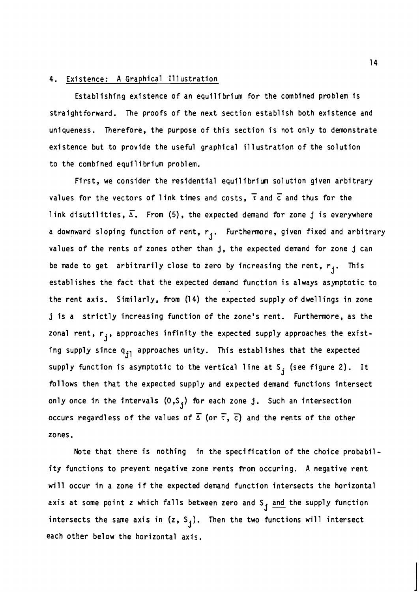## 4. Existence: A Graphical Illustration

Establishing existence of an equilibrium for the combined problem is straightforward. The proofs of the next section establish both existence and uniqueness. Therefore, the purpose of this section is not only to demonstrate exi stence but to provide the useful graphical ill ustration of the solution to the combined equilibrium problem.

First, we consider the residential equil i bri **un** sol ution given arbitrary riu<br>Tə values for the vectors of 1 ink times and costs, **T** and *c* and thus for the link disutilities,  $\overline{\Delta}$ . From (5), the expected demand for zone j is everywhere a downward sloping function of rent,  $r_j$ . Furthermore, given fixed and arbitrary values of the rents of zones other than j, the expected demand for zone j can be made to get arbitrarily close to zero by increasing the rent,  $r_i$ . This establishes the fact that the expected demand function is always asymptotic to the rent axis. Similarly, from (1 4) the expected supply of dwellings in zone j is a strictly increasing function of the zone's rent. Furthermore, as the zonal rent,  $r_i$ , approaches infinity the expected supply approaches the existing supply since  $q_{jl}$  approaches unity. This establishes that the expected supply function is asymptotic to the vertical line at S<sub>j</sub> (see figure 2). It follows then that the expected supply and expected demand functions intersect only once in the intervals  $(0\,,\mathsf{S}_{\,\,\,\,\!\!\bold{j}})$  for each zone  $\,\,\mathrm{j}\,$  . Such an intersection occurs regardless of the values of  $\overline{\Delta}$  (or  $\overline{\tau}$ ,  $\overline{c}$ ) and the rents of the other zones.

Note that there is nothing in the specification of the choice probability functions to prevent negative zone rents from occuring. A negative rent will occur in a zone if the expected demand function intersects the horizontal axis at some point z which falls between zero and  $S_{\frac{1}{2}}$  and the supply function intersects the same axis in  $(z, S<sub>i</sub>)$ . Then the two functions will intersect each other below the horizontal axis.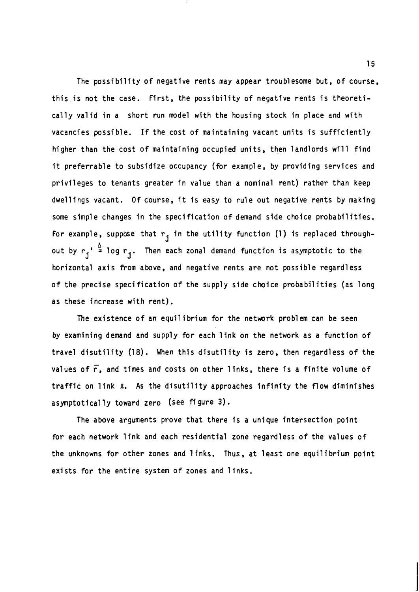The possibility of negative rents may appear troublesome but, of course, this is not the case. First, the possibility of negative rents is theoretically val id in a short run model with the housing stock in place and with vacancies possible. If the cost of maintaining vacant units is sufficiently higher than the cost of maintaining occupied units, then landlords will find it preferrable to subsidize occupancy (for example, by providing services and privileges to tenants greater in value than a nominal rent) rather than keep dwellings vacant. Of course, it is easy to rule out negative rents by making some simple changes in the specification of demand side choice probabilities. For example, suppose that  $r_i$  in the utility function (1) is replaced through-**A <sup>j</sup>** out by  $r_{\bf j}$ '  $\stackrel{\Delta}{=}$  log  $r_{\bf j}$ . Then each zonal demand function is asymptotic to the horizontal axis from above, and negative rents are not possible regardless of the precise specification of the supply side choice probabilities (as long as these increase with rent).

The existence of an equilibrium for the network problem can be seen by examining demand and supply for each 1 ink on the network as a function of travel disutility (18). When this disutility is zero, then regardless of the values of **r,** and times and costs on other 1 inks, there is a finite volume of traffic on link  $\ell$ . As the disutility approaches infinity the flow diminishes asymptotically toward zero (see figure **3).** 

The above arguments prove that there is a unique intersection point for each network link and each residential zone regardless of the values of the unknowns for other zones and 1 inks. Thus, at least one equilibrium point exists for the entire system of zones and links.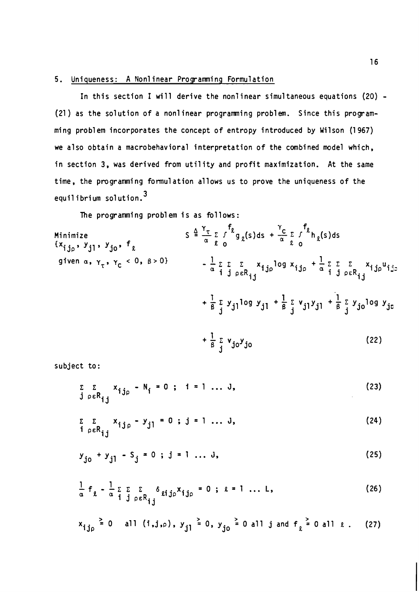## 5. Uniqueness: A Nonl inear Programing Formulation

In this section I will derive the nonlinear simultaneous equations (20) -(21 ) as the solution of a nonlinear programing problem. Since this programming problem incorporates the concept of entropy introduced by Wilson (1 967) we also obtain a macrobehavioral interpretation of the combined model which, in section 3, was derived from utility and profit maximization. At the same time, the programing formulation allows us to prove the uniqueness of the equilibrium solution.<sup>3</sup>

The programming problem is as follows:

Minimize  
\n
$$
S \triangleq \frac{\gamma_{\tau}}{\alpha} \sum_{\alpha} f^{\beta} g_{\alpha}(s) ds + \frac{\gamma_{C}}{\alpha} \sum_{\alpha} f^{\beta} h_{\alpha}(s) ds
$$
\n
$$
= \frac{1}{\alpha} \sum_{\alpha} \sum_{\beta} f^{\beta} g_{\alpha}(s) ds + \frac{\gamma_{C}}{\alpha} \sum_{\beta} f^{\beta} h_{\alpha}(s) ds
$$
\n
$$
= \frac{1}{\alpha} \sum_{\beta} \sum_{\beta} f^{\beta} g_{\beta}(s) ds + \frac{\gamma_{C}}{\alpha} \sum_{\beta} f^{\beta} h_{\alpha}(s) ds
$$
\n
$$
= \frac{1}{\alpha} \sum_{\beta} \sum_{\beta} f^{\beta} g_{\beta}(s) ds + \frac{\gamma_{C}}{\alpha} \sum_{\beta} f^{\beta} h_{\alpha}(s) ds
$$
\n
$$
= \frac{1}{\alpha} \sum_{\beta} \sum_{\beta} f^{\beta} g_{\beta}(s) ds + \frac{\gamma_{C}}{\alpha} \sum_{\beta} f^{\beta} h_{\alpha}(s) ds
$$
\n
$$
+ \frac{1}{\alpha} \sum_{\beta} f^{\beta} g_{\beta}(s) ds + \frac{\gamma_{C}}{\alpha} \sum_{\beta} f^{\beta} h_{\alpha}(s) ds
$$
\n
$$
+ \frac{1}{\alpha} \sum_{\beta} f^{\beta} g_{\beta}(s) ds + \frac{\gamma_{C}}{\alpha} \sum_{\beta} f^{\beta} h_{\alpha}(s) ds
$$
\n
$$
+ \frac{1}{\alpha} \sum_{\beta} f^{\beta} g_{\beta}(s) ds + \frac{\gamma_{C}}{\alpha} \sum_{\beta} f^{\beta} h_{\alpha}(s) ds
$$
\n
$$
(22)
$$

subject to:

$$
\sum_{\hat{j} \rho \in R_{\hat{i},\hat{j}}} x_{\hat{i},\hat{j}\rho} - N_{\hat{i}} = 0; \quad \hat{i} = 1 \dots J,
$$
 (23)

$$
\sum_{\substack{\delta \in \mathbb{R} \\ j \in \mathbb{R} \\ j,j}} x_{ij\rho} - y_{jl} = 0 \text{ ; } j = 1 \dots J,
$$
 (24)

$$
y_{j0} + y_{j1} - S_j = 0
$$
;  $j = 1 ... J,$  (25)

$$
x_{ij\rho} \ge 0
$$
 all  $(i,j,\rho)$ ,  $y_{j1} \ge 0$ ,  $y_{j0} \ge 0$  all  $j$  and  $f_{\ell} \ge 0$  all  $\ell$ . (27)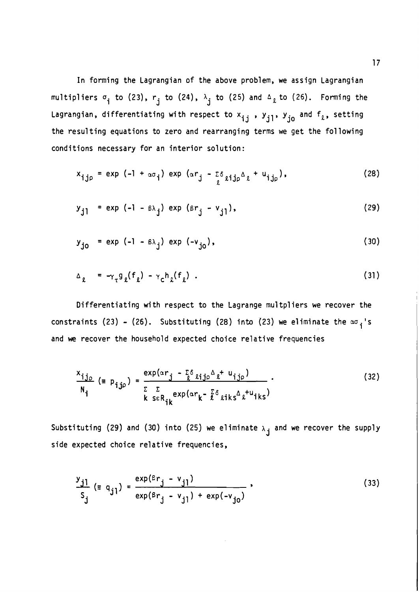In forming the Lagrangian of the above problem, we assign Lagrangian multipliers  $\sigma_i$  to (23),  $r_j$  to (24),  $\lambda_j$  to (25) and  $\Delta_{\ell}$  to (26). Forming the Lagrangian, differentiating with respect to  $x_{i,j}$ ,  $y_{j1}$ ,  $y_{j0}$  and  $f_{\ell}$ , setting the resulting equations to zero and rearranging terms we get the following conditions necessary for an interior solution :

$$
x_{\text{ij}\rho} = \exp(-1 + \alpha \sigma_{\text{i}}) \exp(\alpha r_{\text{j}} - \frac{\sigma}{2} \sigma_{\text{ij}\rho} \Delta_{\text{l}} + u_{\text{ij}\rho}), \qquad (28)
$$

$$
y_{j1} = \exp(-1 - \beta \lambda_j) \exp(\beta r_j - v_{j1}), \qquad (29)
$$

$$
y_{j0} = exp(-1 - B\lambda_j) exp(-v_{j0}),
$$
 (30)

$$
\Delta_{\ell} = -\gamma_{\tau} g_{\ell}(f_{\ell}) - \gamma_{\mathsf{C}} h_{\ell}(f_{\ell}). \qquad (31)
$$

Differentiating with respect to the Lagrange multpliers we recover the constraints (23) - (26). Substituting (28) into (23) we eliminate the  $\infty_{i}$ 's and we recover the household expected choice relative frequencies

$$
\frac{x_{ij_{0}}}{N_{i}} \left(= p_{ij_{0}} \right) = \frac{\exp(\alpha r_{j} - \sum \delta \sin \alpha \lambda t} {(\sum \delta \sin \alpha \lambda t} \cdot \frac{1}{N_{i}}) \cdot \frac{(\sum \delta \sin \alpha \lambda t} {(\sum \delta \sin \alpha \lambda t} \cdot \frac{1}{N_{i}}) \cdot \frac{1}{N_{i}} \cdot \frac{(\sum \delta \sin \alpha \lambda t} {(\sum \delta \sin \alpha \lambda t} \cdot \frac{1}{N_{i}}) \cdot \frac{1}{N_{i}} \cdot \frac{1}{N_{i}} \cdot \frac{1}{N_{i}} \cdot \frac{1}{N_{i}} \cdot \frac{1}{N_{i}} \cdot \frac{1}{N_{i}} \cdot \frac{1}{N_{i}} \cdot \frac{1}{N_{i}} \cdot \frac{1}{N_{i}} \cdot \frac{1}{N_{i}} \cdot \frac{1}{N_{i}} \cdot \frac{1}{N_{i}} \cdot \frac{1}{N_{i}} \cdot \frac{1}{N_{i}} \cdot \frac{1}{N_{i}} \cdot \frac{1}{N_{i}} \cdot \frac{1}{N_{i}} \cdot \frac{1}{N_{i}} \cdot \frac{1}{N_{i}} \cdot \frac{1}{N_{i}} \cdot \frac{1}{N_{i}} \cdot \frac{1}{N_{i}} \cdot \frac{1}{N_{i}} \cdot \frac{1}{N_{i}} \cdot \frac{1}{N_{i}} \cdot \frac{1}{N_{i}} \cdot \frac{1}{N_{i}} \cdot \frac{1}{N_{i}} \cdot \frac{1}{N_{i}} \cdot \frac{1}{N_{i}} \cdot \frac{1}{N_{i}} \cdot \frac{1}{N_{i}} \cdot \frac{1}{N_{i}} \cdot \frac{1}{N_{i}} \cdot \frac{1}{N_{i}} \cdot \frac{1}{N_{i}} \cdot \frac{1}{N_{i}} \cdot \frac{1}{N_{i}} \cdot \frac{1}{N_{i}} \cdot \frac{1}{N_{i}} \cdot \frac{1}{N_{i}} \cdot \frac{1}{N_{i}} \cdot \frac{1}{N_{i}} \cdot \frac{1}{N_{i}} \cdot \frac{1}{N_{i}} \cdot \frac{1}{N_{i}} \cdot \frac{1}{N_{i}} \cdot \frac{1}{N_{i}} \cdot \frac{1}{N_{i}} \cdot \frac{1}{N_{i}} \cdot \frac{1}{N_{i}} \cdot \frac{1}{N_{i}} \cdot \frac{1}{N_{i}} \cdot \frac{1}{
$$

Substituting (29) and (30) into (25) we eliminate  $\lambda_{j}$  and we recover the supply side expected choice relative frequencies,

$$
\frac{y_{j1}}{S_j} \left( z q_{j1} \right) = \frac{\exp(\beta r_j - v_{j1})}{\exp(\beta r_j - v_{j1}) + \exp(-v_{j0})},
$$
\n(33)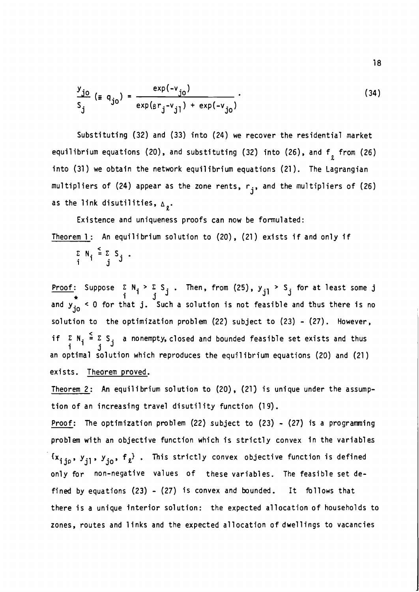$$
\frac{y_{j0}}{S_j} \left( \equiv q_{j0} \right) = \frac{\exp(-v_{j0})}{\exp(\frac{\exp(\frac{\exp(-v_{j0})}{S})}{\exp(\frac{\exp(-v_{j0})}{S})} \cdot \frac{1}{\exp(-v_{j0})} \cdot \frac{1}{\exp(-v_{j0})} \cdot \frac{1}{\exp(-v_{j0})} \cdot \frac{1}{\exp(-v_{j0})} \cdot \frac{1}{\exp(-v_{j0})} \cdot \frac{1}{\exp(-v_{j0})} \cdot \frac{1}{\exp(-v_{j0})} \cdot \frac{1}{\exp(-v_{j0})} \cdot \frac{1}{\exp(-v_{j0})} \cdot \frac{1}{\exp(-v_{j0})} \cdot \frac{1}{\exp(-v_{j0})} \cdot \frac{1}{\exp(-v_{j0})} \cdot \frac{1}{\exp(-v_{j0})} \cdot \frac{1}{\exp(-v_{j0})} \cdot \frac{1}{\exp(-v_{j0})} \cdot \frac{1}{\exp(-v_{j0})} \cdot \frac{1}{\exp(-v_{j0})} \cdot \frac{1}{\exp(-v_{j0})} \cdot \frac{1}{\exp(-v_{j0})} \cdot \frac{1}{\exp(-v_{j0})} \cdot \frac{1}{\exp(-v_{j0})} \cdot \frac{1}{\exp(-v_{j0})} \cdot \frac{1}{\exp(-v_{j0})} \cdot \frac{1}{\exp(-v_{j0})} \cdot \frac{1}{\exp(-v_{j0})} \cdot \frac{1}{\exp(-v_{j0})} \cdot \frac{1}{\exp(-v_{j0})} \cdot \frac{1}{\exp(-v_{j0})} \cdot \frac{1}{\exp(-v_{j0})} \cdot \frac{1}{\exp(-v_{j0})} \cdot \frac{1}{\exp(-v_{j0})} \cdot \frac{1}{\exp(-v_{j0})} \cdot \frac{1}{\exp(-v_{j0})} \cdot \frac{1}{\exp(-v_{j0})} \cdot \frac{1}{\exp(-v_{j0})} \cdot \frac{1}{\exp(-v_{j0})} \cdot \frac{1}{\exp(-v_{j0})} \cdot \frac{1}{\exp(-v_{j0})} \cdot \frac{1}{\exp(-v_{j0})} \cdot \frac{1}{\exp(-v_{j0})} \cdot \frac{1}{\exp(-v_{j0})} \cdot \frac{1}{\exp(-v_{j0})} \cdot \frac{1}{\exp(-v_{j0})
$$

Substituting (32) and (33) into (24) we recover the residential market equilibrium equations (20), and substituting (32) into (26), and  $f_{2}$  from (26) into (31) we obtain the network equilibrium equations (21). The Lagrangian multipliers of (24) appear as the zone rents, r<sub>j</sub>, and the multipliers of (26) as the link disutilities,  $\Delta_{a}$ .

Existence and uniqueness proofs can now be formulated: Theorem 1: An equilibrium solution to  $(20)$ ,  $(21)$  exists if and only if

$$
\sum_{i=1}^{n} N_i \stackrel{<}{=} \sum_{j=1}^{n} S_j.
$$

<u>Proof</u>: Suppose  $\Sigma N_i > \Sigma S_j$ . Then, from (25),  $y_{j1} > S_j$  for at least some j<br>and  $y_{j0}^* < 0$  for that j. Such a solution is not feasible and thus there is no solution to the optimization problem (22) subject to (23) - (27). However, if  $\begin{array}{c} \Sigma \end{array} N_i \begin{array}{c} \leq \\ 1 \end{array}$   $\begin{array}{c} \Sigma \end{array} S_j$  a nonempty, closed and bounded feasible set exists and thus i j an optimal solution which reproduces the equilibrium equations (20) and (21) exists. Theorem proved.

Theorem 2: An equilibrium solution to (20), (21) is unique under the assumption of an increasing travel disutility function (19).

**Proof:** The optimization problem  $(22)$  subject to  $(23)$  -  $(27)$  is a programming problem with an objective function which is strictly convex in the variables  ${x_{i,j\rho}},{y_{j1}},{y_{j0}},{f_{\ell}}$ . This strictly convex objective function is defined only for non-negative values of these variables. The feasible set defined by equations (23) - (27) is convex and bounded. It follows that there is a unique interior solution: the expected allocation of households to zones, routes and links and the expected allocation of dwellings to vacancies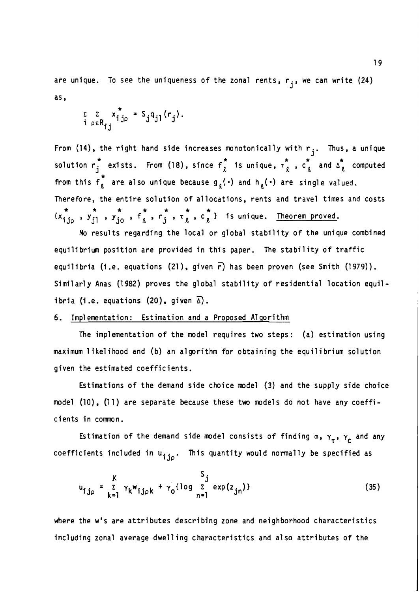are unique. To see the uniqueness of the zonal rents,  $r_j$ , we can write (24) as,

$$
\sum_{\substack{\tilde{L} \ \tilde{P} \in R_{ij}}} x_{ij\tilde{P}}^* = S_j q_{jl}(r_j).
$$

From (14), the right hand side increases monotonically with  $r_j$ . Thus, a unique solution  $r_i^*$  exists. From (18), since  $f_i^*$  is unique,  $r_i^*$  ,  $c_i^*$  and  $\Delta_i^*$  computed from this  $f_{\ell}^*$  are also unique because  $g_{\ell}(\cdot)$  and  $h_{\ell}(\cdot)$  are single valued. Therefore, the entire solution of allocations, rents and travel times and costs  $\begin{array}{ccccccccc}\n & \star & \star & \star & \star & \star & \star & \star & \star \\
\downarrow x_{\textbf{ij}_p} & , y_{\textbf{ji}}^* & , y_{\textbf{j}_0}^* & , f_{\ell}^* & , r_{\textbf{j}}^* & , r_{\ell}^* & , c_{\ell}^* & \end{array}$  is unique. Theorem proved.

No results regarding the local or global stability of the unique combined equilibrium position are provided in this paper. The stability of traffic equilibria (i.e. equations  $(21)$ , given  $\overline{r}$ ) has been proven (see Smith (1979)). Similarly Anas (1982) proves the global stability of residential location equilibria (i.e. equations  $(20)$ , given  $\overline{\Delta}$ ).

## 6. Implementation: Estimation and a Proposed Algorithm

The implementation of the model requires two steps: (a) estimation using maximum likelihood and (b) an algorithm for obtaining the equilibrium solution given the estimated coefficients.

Estimations of the demand side choice model (3) and the supply side choice model (10), (11) are separate because these two models do not have any coefficients in comnon.

Estimation of the demand side model consists of finding  $\alpha$ ,  $\gamma_{\tau}$ ,  $\gamma_{\text{C}}$  and any coefficients included in u<sub>ijp</sub>. This quantity would normally be specified as

$$
u_{ij\rho} = \sum_{k=1}^{K} \gamma_k w_{ij\rho k} + \gamma_0 \{ \log \sum_{n=1}^{S} \exp(z_{jn}) \}
$$
 (35)

where the w's are attributes describing zone and neighborhood characteristics including zonal average dwelling characteristics and also attributes of the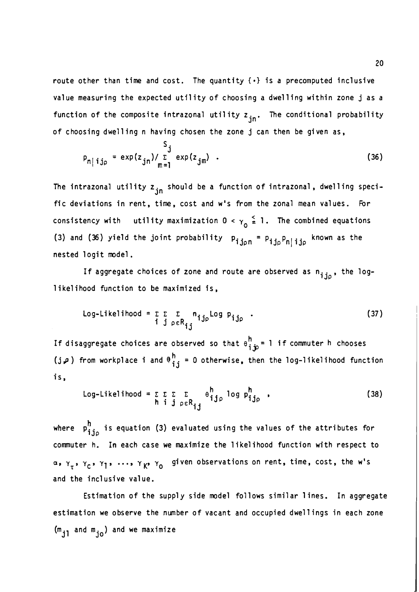route other than time and cost. The quantity  $\{\cdot\}$  is a precomputed inclusive value measuring the expected utility of choosing a dwelling within zone j as a function of the composite intrazonal utility  $z_{in}$ . The conditional probability of choosing dwelling n having chosen the zone  ${\bf j}$  can then be given as,

$$
P_{n|ij_{p}} = \exp(z_{jn}) / \sum_{m=1}^{5} \exp(z_{jm})
$$
 (36)

The intrazonal utility  $z_{in}$  should be a function of intrazonal, dwelling specific deviations in rent, time, cost and w's from the zonal mean values. For consistency with utility maximization  $0 < \gamma_0 \stackrel{<}{=} 1$ . The combined equations (3) and (36) yield the joint probability  $p_{ij_{0}n} = p_{ij_{0}}p_{n|ij_{0}}$  known as the

nested logit model.<br>If aggregate choices of zone and route are observed as n<sub>iio</sub>, the loglikelihood function to be maximized is,

Log-likelihood = 
$$
\sum_{\substack{\tilde{L} \\ \tilde{L} \\ \tilde{L} \\ \tilde{L}}} \sum_{\substack{\tilde{L} \\ \tilde{L} \\ \tilde{L} \\ \tilde{L} \\ \tilde{L} \\ \tilde{L} \\ \tilde{L} \\ \tilde{L} \\ \tilde{L} \\ \tilde{L} \\ \tilde{L} \\ \tilde{L} \\ \tilde{L} \\ \tilde{L} \\ \tilde{L} \\ \tilde{L} \\ \tilde{L} \\ \tilde{L} \\ \tilde{L} \\ \tilde{L} \\ \tilde{L} \\ \tilde{L} \\ \tilde{L} \\ \tilde{L} \\ \tilde{L} \\ \tilde{L} \\ \tilde{L} \\ \tilde{L} \\ \tilde{L} \\ \tilde{L} \\ \tilde{L} \\ \tilde{L} \\ \tilde{L} \\ \tilde{L} \\ \tilde{L} \\ \tilde{L} \\ \tilde{L} \\ \tilde{L} \\ \tilde{L} \\ \tilde{L} \\ \tilde{L} \\ \tilde{L} \\ \tilde{L} \\ \tilde{L} \\ \tilde{L} \\ \tilde{L} \\ \tilde{L} \\ \tilde{L} \\ \tilde{L} \\ \tilde{L} \\ \tilde{L} \\ \tilde{L} \\ \tilde{L} \\ \tilde{L} \\ \tilde{L} \\ \tilde{L} \\ \tilde{L} \\ \tilde{L} \\ \tilde{L} \\ \tilde{L} \\ \tilde{L} \\ \tilde{L} \\ \tilde{L} \\ \tilde{L} \\ \tilde{L} \\ \tilde{L} \\ \tilde{L} \\ \tilde{L} \\ \tilde{L} \\ \tilde{L} \\ \tilde{L} \\ \tilde{L} \\ \tilde{L} \\ \tilde{L} \\ \tilde{L} \\ \tilde{L} \\ \tilde{L} \\ \tilde{L} \\ \tilde{L} \\ \tilde{L} \\ \tilde{L} \\ \tilde{L} \\ \tilde{L} \\ \tilde{L} \\ \tilde{L} \\ \tilde{L} \\ \tilde{L} \\ \tilde{L} \\ \tilde{L} \\ \tilde{L} \\ \tilde{L} \\ \tilde{L} \\ \tilde{L} \\ \tilde{L} \\ \tilde{L} \\ \tilde{L} \\ \tilde{L} \\ \tilde{L} \\ \tilde{L} \\ \tilde{L} \\ \tilde{L} \\ \tilde{L} \\ \tilde{L}
$$

If disaggregate choices are observed so that  $e_{i; p}^{h}$  = 1 if commuter h chooses (**i** $\varphi$ ) from workplace i and  $\varphi_{i,j}^h = 0$  otherwise, then the log-likelihood function is,

Log-likelihood = 
$$
\sum \sum \sum \sum \theta_{ij\rho}^{h}
$$
 log  $p_{ij\rho}^{h}$ , (38)

where  $p_{i,j_0}^h$  is equation (3) evaluated using the values of the attributes for commuter h. In each case we maximize the likelihood function with respect to  $\alpha$ ,  $\gamma_{\tau}$ ,  $\gamma_{C}$ ,  $\gamma_{1}$ , ...,  $\gamma_{K}$ ,  $\gamma_{0}$  given observations on rent, time, cost, the w's and the inclusive value.

Estimation of the supply side model follows similar lines. In aggregate estimation we observe the number of vacant and occupied dwellings in each zone  $(m_{ij}$  and  $m_{io}$ ) and we maximize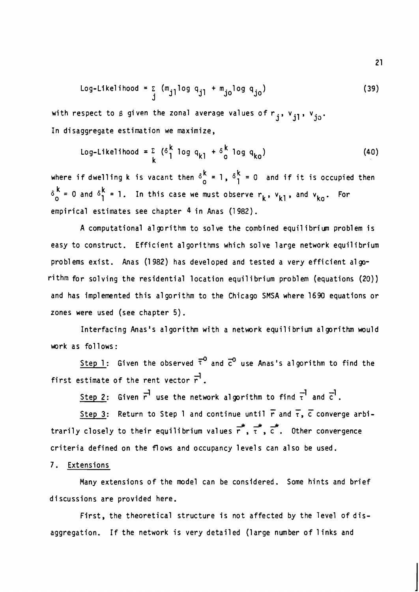$$
Log-Likelihood = \sum_{j} (m_{j1} log q_{j1} + m_{jo} log q_{jo})
$$
 (39)

with respect to  $\beta$  given the zonal average values of  $r_j$ ,  $v_{j1}$ ,  $v_{j0}$ . In disaggregate estimation we maximize,

$$
Log-Likelihood = \sum_{k} \left( \delta_{1}^{k} \log q_{k1} + \delta_{0}^{k} \log q_{k0} \right)
$$
 (40)

where if dwelling k is vacant then  $\delta_0^k = 1$ ,  $\delta_1^k = 0$  and if it is occupied then  $\delta_{0}^{k}$  = 0 and  $\delta_{1}^{k}$  = 1. In this case we must observe  $r_{k}$ ,  $v_{k1}$ , and  $v_{ko}$ . For empirical estimates see chapter **4** in Anas (1982).

A computational algorithm to solve the combined equilibriun problem is easy to construct. Efficient a1 gorithms which solve large network equilibrium problems exist. Anas (1 982) has developed and tested a very efficient a1 gorithm for solving the residential location equilibrium problem (equations (20)) and has implemented this algorithm to the Chicago SMSA where 1690 equations or zones were used (see chapter 5).

Interfacing Anas's algorithm with a network equilibrium algorithm would work as follows:

Step 1: Given the observed  $\bar{\tau}^0$  and  $\bar{c}^0$  use Anas's algorithm to find the first estimate of the rent vector  $\vec{r}$ .<br>Step 2: Given  $\vec{r}$  use the network algorithm to find  $\vec{r}$  and  $\vec{c}$ .

Step 2: Given r' use the network algorithm to find τ' and c'.<br>
Step 3: Return to Step 1 and continue until r and τ, c converge arbi-<br>
closely to their equilibrium values  $\frac{1}{n}$ , τ, c ... Other convergence trarily closely to their equilibrium values  $\vec{r}$ ,  $\vec{r}$ ,  $\vec{c}$ . Other convergence criteria defined on the flows and occupancy levels can also be used.

## 7. Extensions

Many extensions of the model can be considered. Some hints and brief discussions are provided here.

First, the theoretical structure is not affected by the level of disaggregation. If the network is very detailed (large number of 1 inks and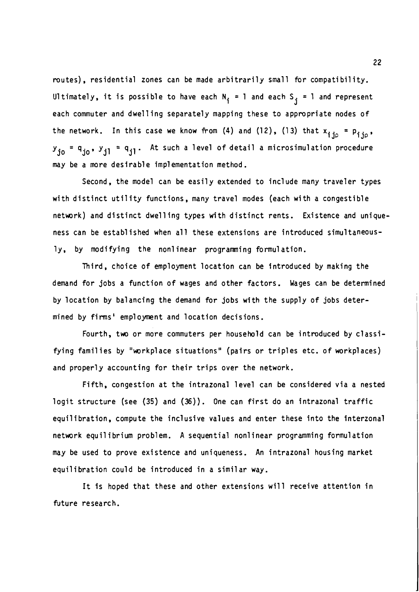routes), residential zones can be made arbitrarily small for compatibility. Ultimately, it is possible to have each  $N_i = 1$  and each  $S_i = 1$  and represent each commuter and dwelling separately mapping these to appropriate nodes of the network. In this case we know from (4) and (12), (13) that  $x_{\text{ij}} = p_{\text{ij},\rho}$ .  $= 0.$   $\sqrt{1.5}$ y<sub>jo</sub> = q<sub>jo</sub>, y<sub>jl</sub> = q<sub>jl</sub>. At such a level of detail a microsimulation procedure may be a more desirable implementation method.

Second, the model can be easily extended to include many traveler types with distinct utility functions, many travel modes (each with a congestible network) and distinct dwelling types with distinct rents. Existence and uniqueness can be established when all these extensions are introduced simultaneously, by modifying the nonl inear programming formul ation.

Third, choice of employment location can be introduced by making the demand for jobs a function of wages and other factors. Wages can be determined by location by balancing the demand for jobs with the supply of jobs determined by firms' employment and location decisions.

Fourth, two or more commuters per household can be introduced by classifying families by "workplace situations" (pairs or triples etc. of workplaces) and properly accounting for their trips over the network.

Fifth, congestion at the intrazonal level can be considered via a nested logit structure (see (35) and (36)). One can first do an intrazonal traffic equilibration, compute the inclusive values and enter these into the interzonal network equilibrium problem. A sequential nonlinear programming formulation may be used to prove existence and uniqueness. An intrazonal housing market equilibration could be introduced in a simil ar way.

It is hoped that these and other extensions will receive attention in future research.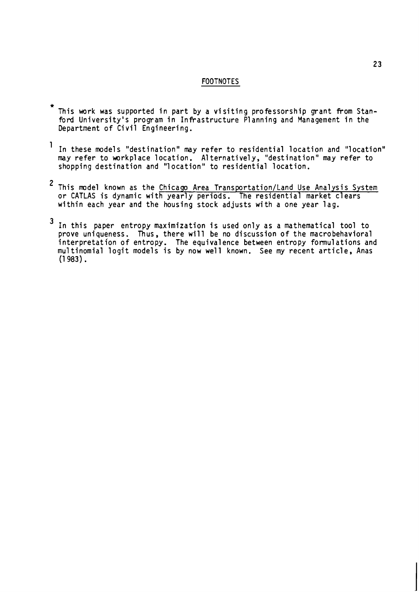#### FOOTNOTES

- \* This work was supported in part by a visiting professorship grant from Stanford University's program in Infrastructure Planning and Management in the Department of Civil Engineering.
- In these models "destination" may refer to residential location and "location" may refer to workplace location. Alternatively, "destination" may refer to shopping destination and "1 ocation" to residential location.
- <sup>2</sup> This model known as the Chicago Area Transportation/Land Use Analysis System or CATLAS is dynamic with yearly periods. The residential market clears within each year and the housing stock adjusts with a one year lag.
- In this paper entropy maximization is used only as a mathematical tool to prove uniqueness. Thus, there will be no discussion of the macrobehavioral interpretat ion of entropy. The equival ence between entropy formul ations and mu1 tinomial logit models is by now well known. See my recent article, Anas  $(1983)$ .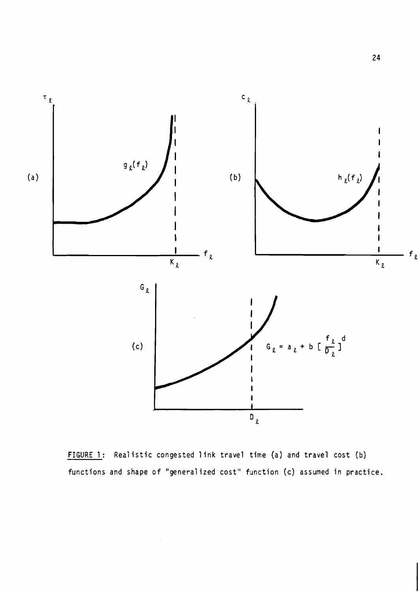

FIGURE 1: Realistic congested link travel time (a) and travel cost (b) functions and shape of "generalized cost" function **(c)** assumed in practice.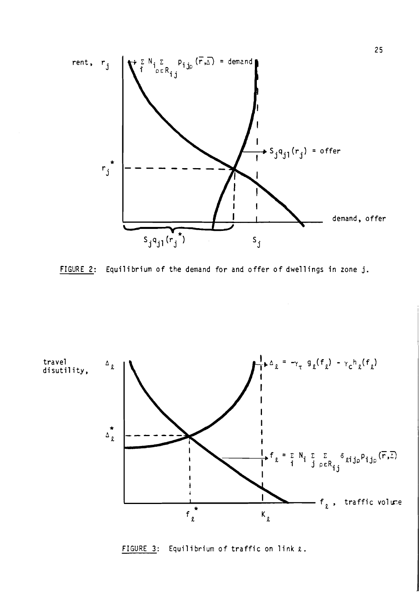

ilibrium of the demand for and offer of dwellings in zone j.



FIGURE 3: Equilibrium of traffic on link *e.*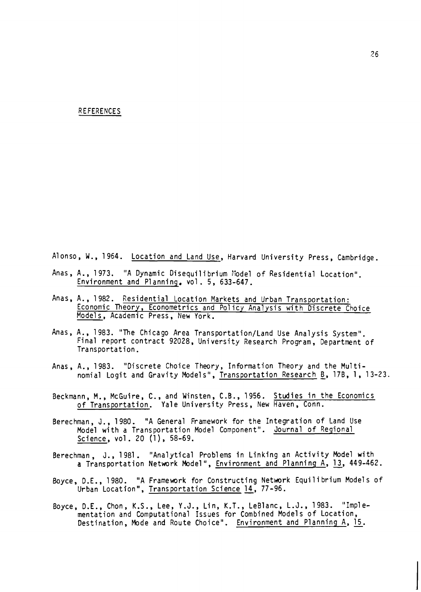#### REFERENCES

Alonso, W., 1964. Location and Land Use, Harvard University Press, Cambridge.

- Anas, A., 1973. "A Dynamic Disequilibrium Model of Residential Location". Environment and Planning. vol. 5, 633-647.
- Anas, A., 1982. Residential Location Markets and Urban Transportation: Economic Theory, Econometrics and Pol icy Analysis with Discrete Choice Models, Academic Press, New York.
- Anas, A., 1983. "The Chicago Area Transportation/Land Use Analysis System". Final report contract 92028, University Research Program, Department of Transportation.
- Anas, A., 1983. "Discrete Choice Theory, Information Theory and the Multinomial Logit and Gravity Models", Transportation Research B, 17B, 1, 13-23.
- Beckmann, M., McGuire, C., and Winsten, C.B., 1956. Studies in the Economics of Transportation. Yale University Press, New Haven, Conn.
- Berechman, J., 1980. "A General Framework for the Integration of Land Use Model with a Transportation Model Component". Journal of Regional Science, vol. 20 (1), 58-69.
- Berechman, J., 1981. "Analytical Problems in Linking an Activity Model with<br>**a** Transportation Network Model", <u>Environment and Planning A</u>, <u>13</u>, 449-462. a Transportation Network Model", <u>Environment and Planning A</u>, 13, 449-462.<br>Boyce, D.E., 1980. "A Framework for Constructing Network Equilibrium Models of
- Urban Location", Transportation Science 14, 77-96.
- Boyce, D.E., Chon, K.S., Lee, Y.J., Lin, K.T., LeBlanc, L.J., 1983. "Imple-<br>mentation and Computational Issues for Combined Models of Location,<br>Destination, Mode and Route Choice". <u>Environment and Planning A, 15</u>. mentation and Computational Issues for Combined Models of Location,<br>Destination, Mode and Route Choice". Environment and Planning A, 15.